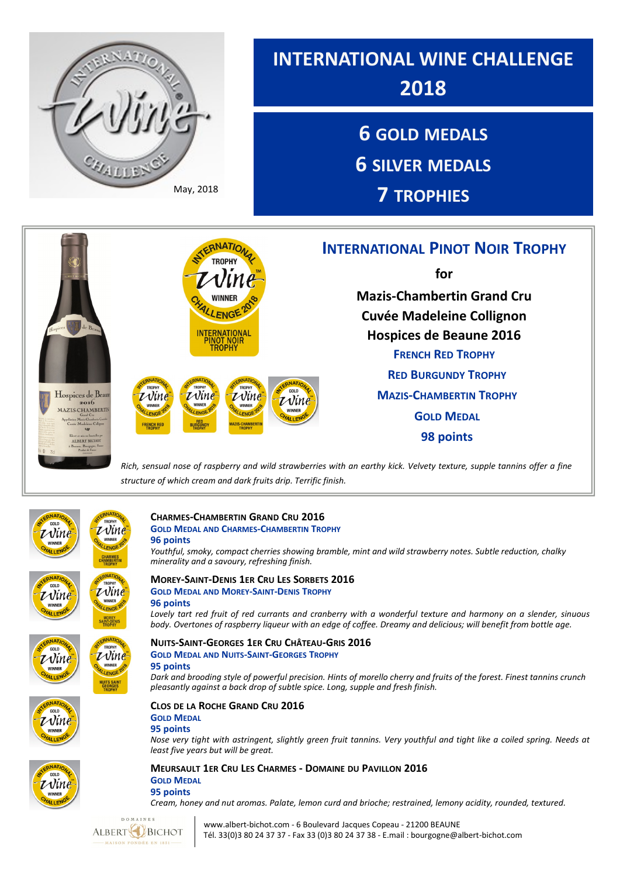

*Rich, sensual nose of raspberry and wild strawberries with an earthy kick. Velvety texture, supple tannins offer a fine structure of which cream and dark fruits drip. Terrific finish.*





 $\nu$ ine

#### **CHARMES-CHAMBERTIN GRAND CRU 2016 GOLD MEDAL AND CHARMES-CHAMBERTIN TROPHY**

**96 points**

*Youthful, smoky, compact cherries showing bramble, mint and wild strawberry notes. Subtle reduction, chalky minerality and a savoury, refreshing finish.* 

### **MOREY-SAINT-DENIS 1ER CRU LES SORBETS 2016 GOLD MEDAL AND MOREY-SAINT-DENIS TROPHY**

### **96 points**

*Lovely tart red fruit of red currants and cranberry with a wonderful texture and harmony on a slender, sinuous body. Overtones of raspberry liqueur with an edge of coffee. Dreamy and delicious; will benefit from bottle age.*

## **NUITS-SAINT-GEORGES 1ER CRU CHÂTEAU-GRIS 2016 GOLD MEDAL AND NUITS-SAINT-GEORGES TROPHY 95 points**

*Dark and brooding style of powerful precision. Hints of morello cherry and fruits of the forest. Finest tannins crunch pleasantly against a back drop of subtle spice. Long, supple and fresh finish.* 

### **CLOS DE LA ROCHE GRAND CRU 2016**

**GOLD MEDAL**

### **95 points**

*Nose very tight with astringent, slightly green fruit tannins. Very youthful and tight like a coiled spring. Needs at least five years but will be great.* 



Vin

**MEURSAULT 1ER CRU LES CHARMES - DOMAINE DU PAVILLON 2016 GOLD MEDAL 95 points**

*Cream, honey and nut aromas. Palate, lemon curd and brioche; restrained, lemony acidity, rounded, textured.* 



 www.albert-bichot.com - 6 Boulevard Jacques Copeau - 21200 BEAUNE Tél. 33(0)3 80 24 37 37 - Fax 33 (0)3 80 24 37 38 - E.mail : bourgogne@albert-bichot.com